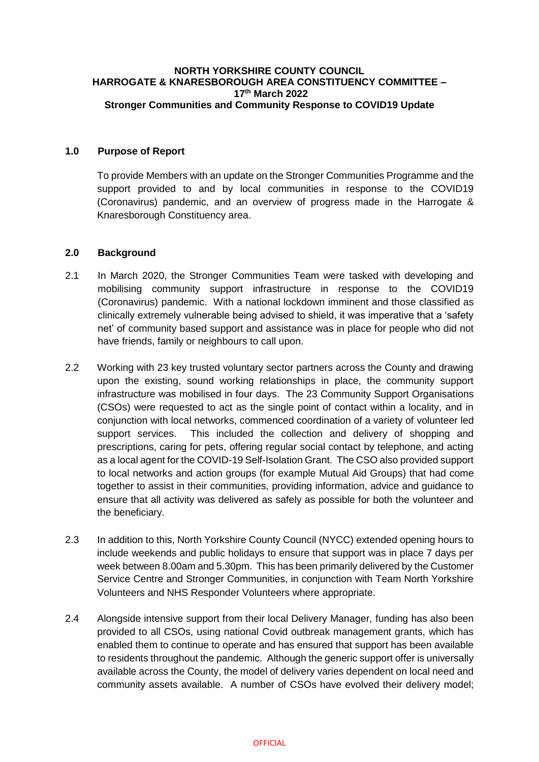### **NORTH YORKSHIRE COUNTY COUNCIL HARROGATE & KNARESBOROUGH AREA CONSTITUENCY COMMITTEE – 17th March 2022 Stronger Communities and Community Response to COVID19 Update**

## **1.0 Purpose of Report**

To provide Members with an update on the Stronger Communities Programme and the support provided to and by local communities in response to the COVID19 (Coronavirus) pandemic, and an overview of progress made in the Harrogate & Knaresborough Constituency area.

### **2.0 Background**

- 2.1 In March 2020, the Stronger Communities Team were tasked with developing and mobilising community support infrastructure in response to the COVID19 (Coronavirus) pandemic. With a national lockdown imminent and those classified as clinically extremely vulnerable being advised to shield, it was imperative that a 'safety net' of community based support and assistance was in place for people who did not have friends, family or neighbours to call upon.
- 2.2 Working with 23 key trusted voluntary sector partners across the County and drawing upon the existing, sound working relationships in place, the community support infrastructure was mobilised in four days. The 23 Community Support Organisations (CSOs) were requested to act as the single point of contact within a locality, and in conjunction with local networks, commenced coordination of a variety of volunteer led support services. This included the collection and delivery of shopping and prescriptions, caring for pets, offering regular social contact by telephone, and acting as a local agent for the COVID-19 Self-Isolation Grant. The CSO also provided support to local networks and action groups (for example Mutual Aid Groups) that had come together to assist in their communities, providing information, advice and guidance to ensure that all activity was delivered as safely as possible for both the volunteer and the beneficiary.
- 2.3 In addition to this, North Yorkshire County Council (NYCC) extended opening hours to include weekends and public holidays to ensure that support was in place 7 days per week between 8.00am and 5.30pm. This has been primarily delivered by the Customer Service Centre and Stronger Communities, in conjunction with Team North Yorkshire Volunteers and NHS Responder Volunteers where appropriate.
- 2.4 Alongside intensive support from their local Delivery Manager, funding has also been provided to all CSOs, using national Covid outbreak management grants, which has enabled them to continue to operate and has ensured that support has been available to residents throughout the pandemic. Although the generic support offer is universally available across the County, the model of delivery varies dependent on local need and community assets available. A number of CSOs have evolved their delivery model;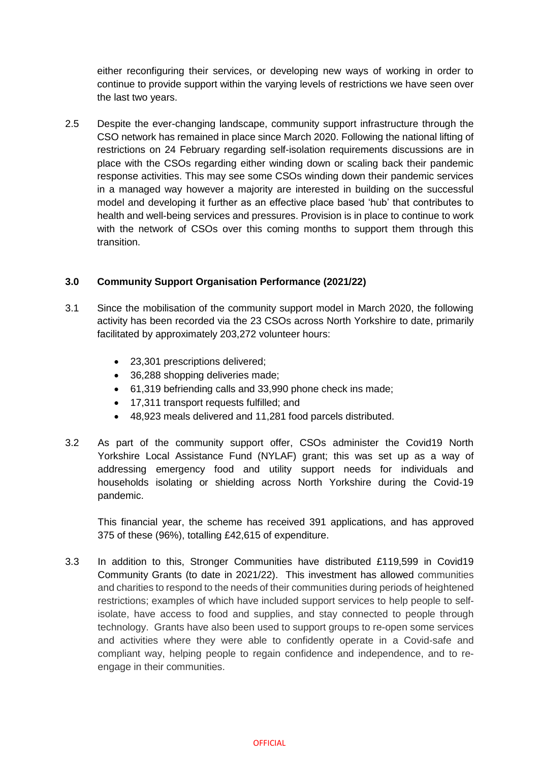either reconfiguring their services, or developing new ways of working in order to continue to provide support within the varying levels of restrictions we have seen over the last two years.

2.5 Despite the ever-changing landscape, community support infrastructure through the CSO network has remained in place since March 2020. Following the national lifting of restrictions on 24 February regarding self-isolation requirements discussions are in place with the CSOs regarding either winding down or scaling back their pandemic response activities. This may see some CSOs winding down their pandemic services in a managed way however a majority are interested in building on the successful model and developing it further as an effective place based 'hub' that contributes to health and well-being services and pressures. Provision is in place to continue to work with the network of CSOs over this coming months to support them through this transition.

# **3.0 Community Support Organisation Performance (2021/22)**

- 3.1 Since the mobilisation of the community support model in March 2020, the following activity has been recorded via the 23 CSOs across North Yorkshire to date, primarily facilitated by approximately 203,272 volunteer hours:
	- 23,301 prescriptions delivered;
	- 36,288 shopping deliveries made;
	- 61,319 befriending calls and 33,990 phone check ins made;
	- 17,311 transport requests fulfilled; and
	- 48,923 meals delivered and 11,281 food parcels distributed.
- 3.2 As part of the community support offer, CSOs administer the Covid19 North Yorkshire Local Assistance Fund (NYLAF) grant; this was set up as a way of addressing emergency food and utility support needs for individuals and households isolating or shielding across North Yorkshire during the Covid-19 pandemic.

This financial year, the scheme has received 391 applications, and has approved 375 of these (96%), totalling £42,615 of expenditure.

3.3 In addition to this, Stronger Communities have distributed £119,599 in Covid19 Community Grants (to date in 2021/22). This investment has allowed communities and charities to respond to the needs of their communities during periods of heightened restrictions; examples of which have included support services to help people to selfisolate, have access to food and supplies, and stay connected to people through technology. Grants have also been used to support groups to re-open some services and activities where they were able to confidently operate in a Covid-safe and compliant way, helping people to regain confidence and independence, and to reengage in their communities.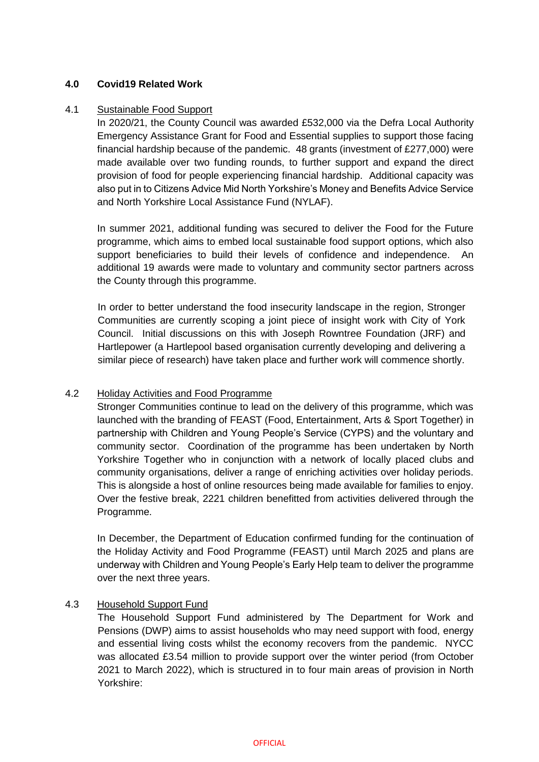## **4.0 Covid19 Related Work**

### 4.1 Sustainable Food Support

In 2020/21, the County Council was awarded £532,000 via the Defra Local Authority Emergency Assistance Grant for Food and Essential supplies to support those facing financial hardship because of the pandemic. 48 grants (investment of £277,000) were made available over two funding rounds, to further support and expand the direct provision of food for people experiencing financial hardship. Additional capacity was also put in to Citizens Advice Mid North Yorkshire's Money and Benefits Advice Service and North Yorkshire Local Assistance Fund (NYLAF).

In summer 2021, additional funding was secured to deliver the Food for the Future programme, which aims to embed local sustainable food support options, which also support beneficiaries to build their levels of confidence and independence. An additional 19 awards were made to voluntary and community sector partners across the County through this programme.

In order to better understand the food insecurity landscape in the region, Stronger Communities are currently scoping a joint piece of insight work with City of York Council. Initial discussions on this with Joseph Rowntree Foundation (JRF) and Hartlepower (a Hartlepool based organisation currently developing and delivering a similar piece of research) have taken place and further work will commence shortly.

## 4.2 Holiday Activities and Food Programme

Stronger Communities continue to lead on the delivery of this programme, which was launched with the branding of FEAST (Food, Entertainment, Arts & Sport Together) in partnership with Children and Young People's Service (CYPS) and the voluntary and community sector. Coordination of the programme has been undertaken by North Yorkshire Together who in conjunction with a network of locally placed clubs and community organisations, deliver a range of enriching activities over holiday periods. This is alongside a host of online resources being made available for families to enjoy. Over the festive break, 2221 children benefitted from activities delivered through the Programme.

In December, the Department of Education confirmed funding for the continuation of the Holiday Activity and Food Programme (FEAST) until March 2025 and plans are underway with Children and Young People's Early Help team to deliver the programme over the next three years.

## 4.3 Household Support Fund

The Household Support Fund administered by The Department for Work and Pensions (DWP) aims to assist households who may need support with food, energy and essential living costs whilst the economy recovers from the pandemic. NYCC was allocated £3.54 million to provide support over the winter period (from October 2021 to March 2022), which is structured in to four main areas of provision in North Yorkshire: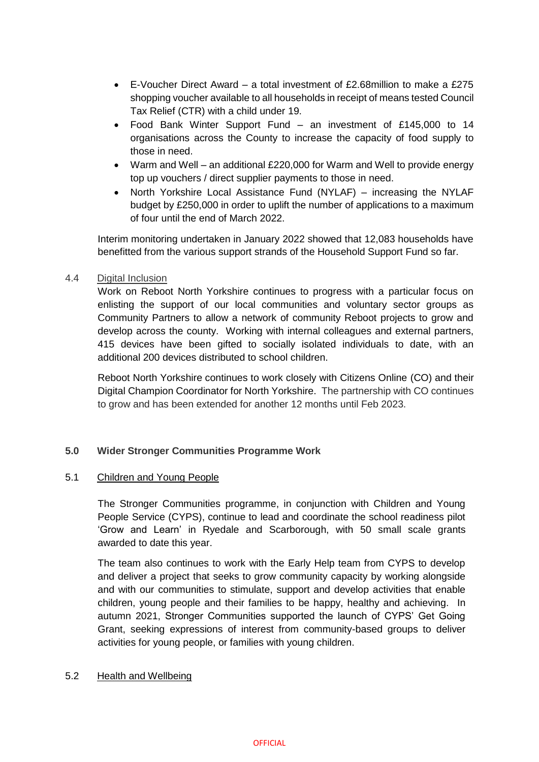- E-Voucher Direct Award a total investment of £2.68million to make a £275 shopping voucher available to all households in receipt of means tested Council Tax Relief (CTR) with a child under 19.
- Food Bank Winter Support Fund an investment of £145,000 to 14 organisations across the County to increase the capacity of food supply to those in need.
- Warm and Well an additional £220,000 for Warm and Well to provide energy top up vouchers / direct supplier payments to those in need.
- North Yorkshire Local Assistance Fund (NYLAF) increasing the NYLAF budget by £250,000 in order to uplift the number of applications to a maximum of four until the end of March 2022.

Interim monitoring undertaken in January 2022 showed that 12,083 households have benefitted from the various support strands of the Household Support Fund so far.

# 4.4 Digital Inclusion

Work on Reboot North Yorkshire continues to progress with a particular focus on enlisting the support of our local communities and voluntary sector groups as Community Partners to allow a network of community Reboot projects to grow and develop across the county. Working with internal colleagues and external partners, 415 devices have been gifted to socially isolated individuals to date, with an additional 200 devices distributed to school children.

Reboot North Yorkshire continues to work closely with Citizens Online (CO) and their Digital Champion Coordinator for North Yorkshire. The partnership with CO continues to grow and has been extended for another 12 months until Feb 2023.

# **5.0 Wider Stronger Communities Programme Work**

## 5.1 Children and Young People

The Stronger Communities programme, in conjunction with Children and Young People Service (CYPS), continue to lead and coordinate the school readiness pilot 'Grow and Learn' in Ryedale and Scarborough, with 50 small scale grants awarded to date this year.

The team also continues to work with the Early Help team from CYPS to develop and deliver a project that seeks to grow community capacity by working alongside and with our communities to stimulate, support and develop activities that enable children, young people and their families to be happy, healthy and achieving. In autumn 2021, Stronger Communities supported the launch of CYPS' Get Going Grant, seeking expressions of interest from community-based groups to deliver activities for young people, or families with young children.

## 5.2 Health and Wellbeing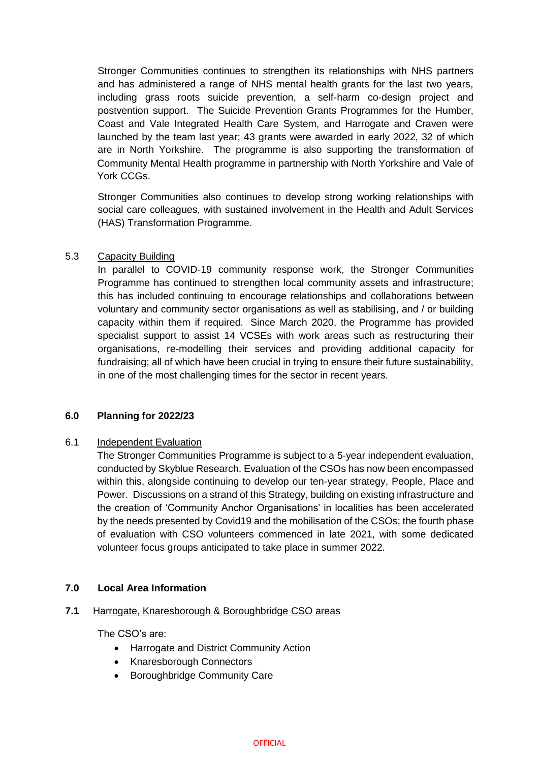Stronger Communities continues to strengthen its relationships with NHS partners and has administered a range of NHS mental health grants for the last two years, including grass roots suicide prevention, a self-harm co-design project and postvention support. The Suicide Prevention Grants Programmes for the Humber, Coast and Vale Integrated Health Care System, and Harrogate and Craven were launched by the team last year; 43 grants were awarded in early 2022, 32 of which are in North Yorkshire. The programme is also supporting the transformation of Community Mental Health programme in partnership with North Yorkshire and Vale of York CCGs.

Stronger Communities also continues to develop strong working relationships with social care colleagues, with sustained involvement in the Health and Adult Services (HAS) Transformation Programme.

## 5.3 Capacity Building

In parallel to COVID-19 community response work, the Stronger Communities Programme has continued to strengthen local community assets and infrastructure; this has included continuing to encourage relationships and collaborations between voluntary and community sector organisations as well as stabilising, and / or building capacity within them if required. Since March 2020, the Programme has provided specialist support to assist 14 VCSEs with work areas such as restructuring their organisations, re-modelling their services and providing additional capacity for fundraising; all of which have been crucial in trying to ensure their future sustainability, in one of the most challenging times for the sector in recent years*.*

## **6.0 Planning for 2022/23**

## 6.1 Independent Evaluation

The Stronger Communities Programme is subject to a 5-year independent evaluation, conducted by Skyblue Research. Evaluation of the CSOs has now been encompassed within this, alongside continuing to develop our ten-year strategy, People, Place and Power. Discussions on a strand of this Strategy, building on existing infrastructure and the creation of 'Community Anchor Organisations' in localities has been accelerated by the needs presented by Covid19 and the mobilisation of the CSOs; the fourth phase of evaluation with CSO volunteers commenced in late 2021, with some dedicated volunteer focus groups anticipated to take place in summer 2022.

## **7.0 Local Area Information**

## **7.1** Harrogate, Knaresborough & Boroughbridge CSO areas

The CSO's are:

- Harrogate and District Community Action
- Knaresborough Connectors
- Boroughbridge Community Care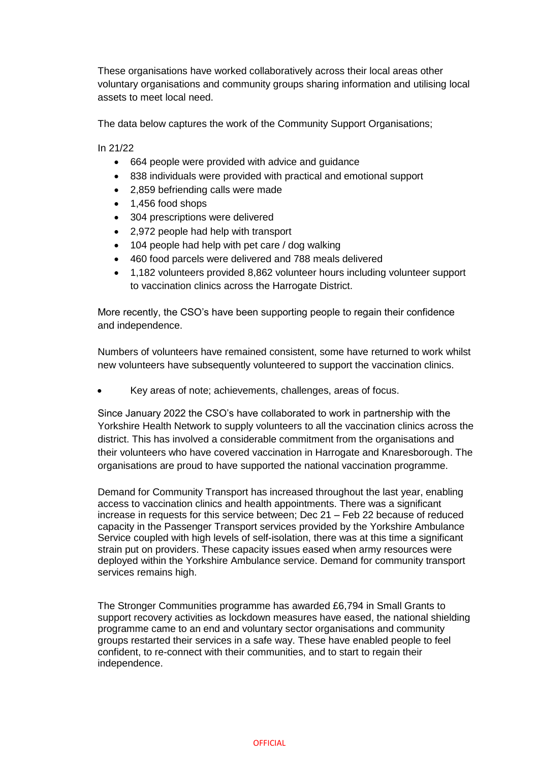These organisations have worked collaboratively across their local areas other voluntary organisations and community groups sharing information and utilising local assets to meet local need.

The data below captures the work of the Community Support Organisations;

In 21/22

- 664 people were provided with advice and guidance
- 838 individuals were provided with practical and emotional support
- 2,859 befriending calls were made
- $\bullet$  1,456 food shops
- 304 prescriptions were delivered
- 2,972 people had help with transport
- 104 people had help with pet care / dog walking
- 460 food parcels were delivered and 788 meals delivered
- 1,182 volunteers provided 8,862 volunteer hours including volunteer support to vaccination clinics across the Harrogate District.

More recently, the CSO's have been supporting people to regain their confidence and independence.

Numbers of volunteers have remained consistent, some have returned to work whilst new volunteers have subsequently volunteered to support the vaccination clinics.

Key areas of note; achievements, challenges, areas of focus.

Since January 2022 the CSO's have collaborated to work in partnership with the Yorkshire Health Network to supply volunteers to all the vaccination clinics across the district. This has involved a considerable commitment from the organisations and their volunteers who have covered vaccination in Harrogate and Knaresborough. The organisations are proud to have supported the national vaccination programme.

Demand for Community Transport has increased throughout the last year, enabling access to vaccination clinics and health appointments. There was a significant increase in requests for this service between; Dec 21 – Feb 22 because of reduced capacity in the Passenger Transport services provided by the Yorkshire Ambulance Service coupled with high levels of self-isolation, there was at this time a significant strain put on providers. These capacity issues eased when army resources were deployed within the Yorkshire Ambulance service. Demand for community transport services remains high.

The Stronger Communities programme has awarded £6,794 in Small Grants to support recovery activities as lockdown measures have eased, the national shielding programme came to an end and voluntary sector organisations and community groups restarted their services in a safe way. These have enabled people to feel confident, to re-connect with their communities, and to start to regain their independence.